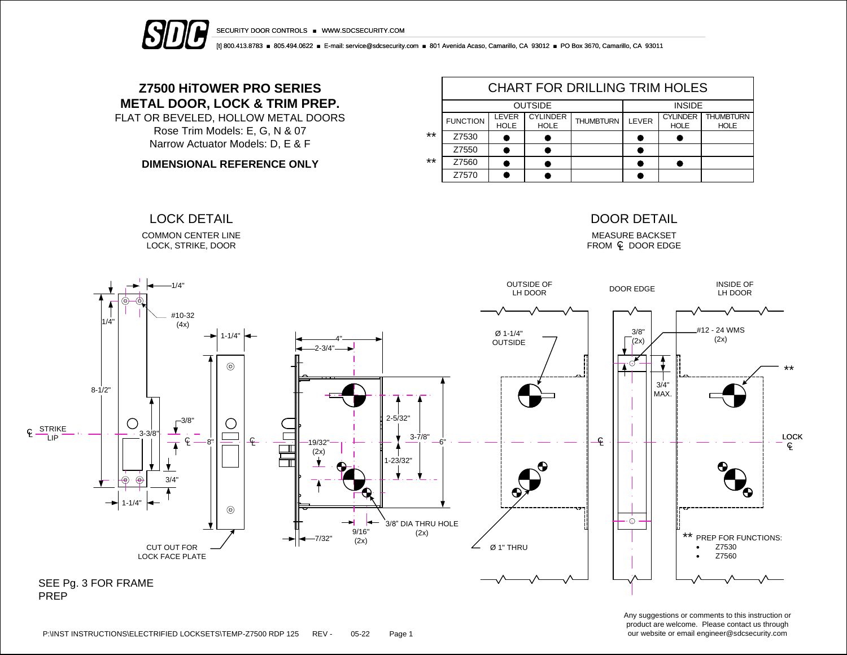



[t] 800.413.8783 ■ 805.494.0622 ■ E-mail: service@sdcsecurity.com ■ 801 Avenida Acaso, Camarillo, CA 93012 ■ PO Box 3670, Camarillo, CA 93011

# **Z7500 HiTOWER PRO SERIES METAL DOOR, LOCK & TRIM PREP.**

FLAT OR BEVELED, HOLLOW METAL DOORS Rose Trim Models: E, G, N & 07 Narrow Actuator Models: D, E & F

**DIMENSIONAL REFERENCE ONLY**

COMMON CENTER LINE LOCK, STRIKE, DOOR

|       | <b>CHART FOR DRILLING TRIM HOLES</b> |                      |                                |                  |       |                                |                                 |  |  |  |  |
|-------|--------------------------------------|----------------------|--------------------------------|------------------|-------|--------------------------------|---------------------------------|--|--|--|--|
|       |                                      | <b>OUTSIDE</b>       | <b>INSIDE</b>                  |                  |       |                                |                                 |  |  |  |  |
|       | <b>FUNCTION</b>                      | LEVER<br><b>HOLE</b> | <b>CYLINDER</b><br><b>HOLE</b> | <b>THUMBTURN</b> | LEVER | <b>CYLINDER</b><br><b>HOLE</b> | <b>THUMBTURN</b><br><b>HOLE</b> |  |  |  |  |
| $***$ | Z7530                                |                      |                                |                  |       |                                |                                 |  |  |  |  |
|       | Z7550                                |                      |                                |                  |       |                                |                                 |  |  |  |  |
| $***$ | Z7560                                |                      |                                |                  |       |                                |                                 |  |  |  |  |
|       | Z7570                                |                      |                                |                  |       |                                |                                 |  |  |  |  |

# LOCK DETAIL DOOR DETAIL

MEASURE BACKSET  $FROM \subseteq DOOR EDGE$ 



Any suggestions or comments to this instruction or product are welcome. Please contact us through our website or email engineer@sdcsecurity.com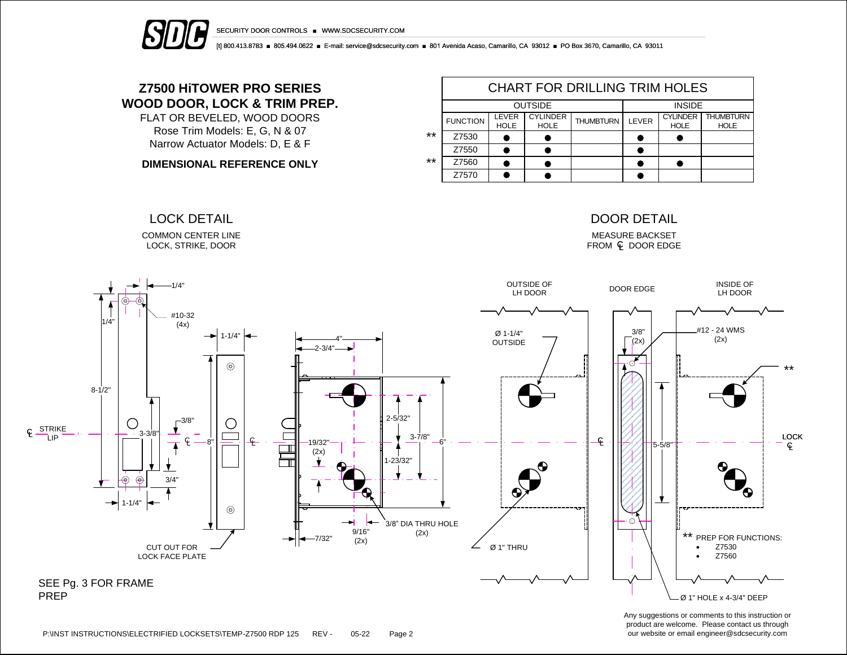



[t] 800.413.8783 ■ 805.494.0622 ■ E-mail: service@sdcsecurity.com ■ 801 Avenida Acaso, Camarillo, CA 93012 ■ PO Box 3670, Camarillo, CA 93011

# **Z7500 HiTOWER PRO SERIES WOOD DOOR, LOCK & TRIM PREP.**

FLAT OR BEVELED, WOOD DOORS Rose Trim Models: E, G, N & 07 Narrow Actuator Models: D, E & F

**DIMENSIONAL REFERENCE ONLY**

COMMON CENTER LINE LOCK, STRIKE, DOOR

|       | <b>CHART FOR DRILLING TRIM HOLES</b> |                      |                                |                  |       |                                |                                 |  |  |  |  |
|-------|--------------------------------------|----------------------|--------------------------------|------------------|-------|--------------------------------|---------------------------------|--|--|--|--|
|       |                                      | <b>OUTSIDE</b>       | <b>INSIDE</b>                  |                  |       |                                |                                 |  |  |  |  |
|       | <b>FUNCTION</b>                      | LEVER<br><b>HOLE</b> | <b>CYLINDER</b><br><b>HOLE</b> | <b>THUMBTURN</b> | LEVER | <b>CYLINDER</b><br><b>HOLE</b> | <b>THUMBTURN</b><br><b>HOLE</b> |  |  |  |  |
| **    | Z7530                                |                      |                                |                  |       |                                |                                 |  |  |  |  |
|       | Z7550                                |                      |                                |                  |       |                                |                                 |  |  |  |  |
| $***$ | Z7560                                |                      |                                |                  |       |                                |                                 |  |  |  |  |
|       | Z7570                                |                      |                                |                  |       |                                |                                 |  |  |  |  |

## LOCK DETAIL DOOR DETAIL

MEASURE BACKSET  $FROM \subseteq DOOR EDGE$ 



Any suggestions or comments to this instruction or product are welcome. Please contact us through our website or email engineer@sdcsecurity.com